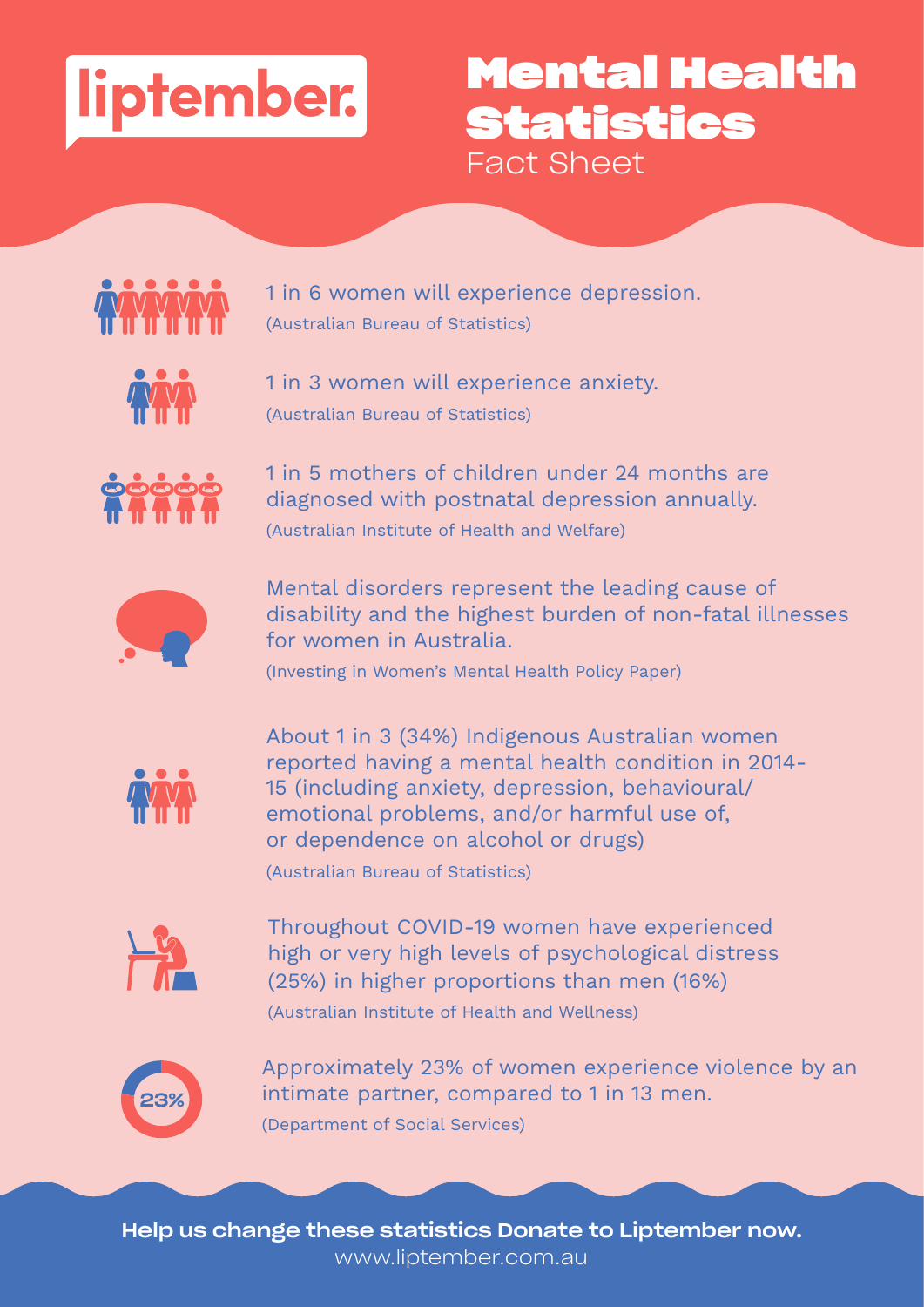

## **Mental Health Statistics** Fact Sheet



1 in 6 women will experience depression. (Australian Bureau of Statistics)



1 in 3 women will experience anxiety. (Australian Bureau of Statistics)



1 in 5 mothers of children under 24 months are diagnosed with postnatal depression annually. (Australian Institute of Health and Welfare)



Mental disorders represent the leading cause of disability and the highest burden of non-fatal illnesses for women in Australia.

(Investing in Women's Mental Health Policy Paper)



About 1 in 3 (34%) Indigenous Australian women reported having a mental health condition in 2014- 15 (including anxiety, depression, behavioural/ emotional problems, and/or harmful use of, or dependence on alcohol or drugs)

(Australian Bureau of Statistics)



Throughout COVID-19 women have experienced high or very high levels of psychological distress (25%) in higher proportions than men (16%) (Australian Institute of Health and Wellness)



Approximately 23% of women experience violence by an intimate partner, compared to 1 in 13 men. (Department of Social Services)

Help us change these statistics Donate to Liptember now. www.liptember.com.au